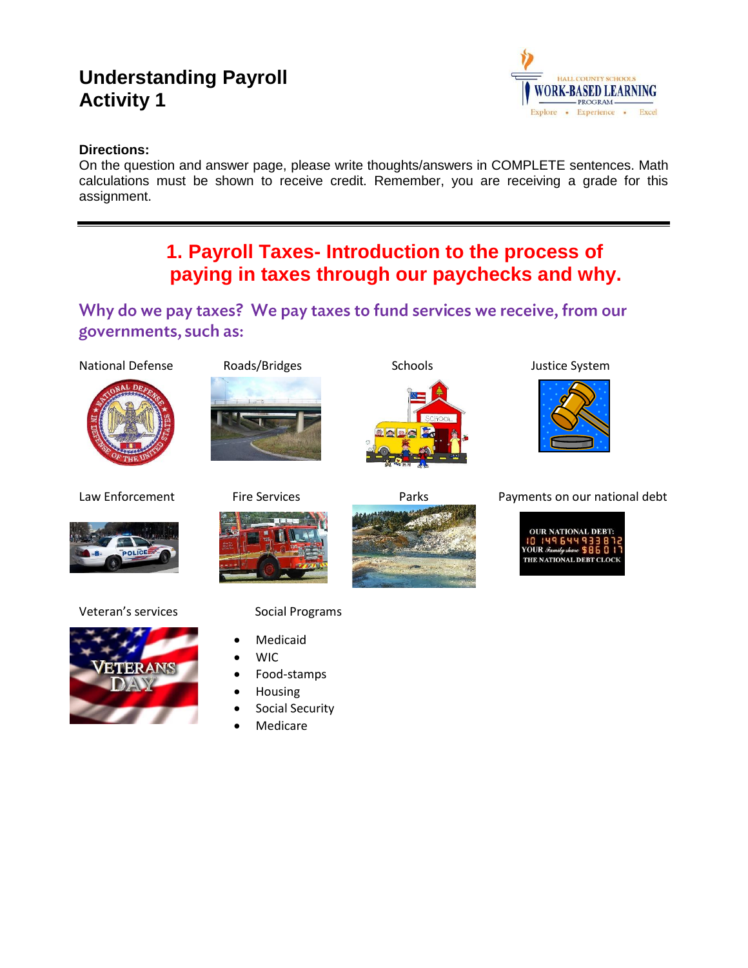# **Understanding Payroll Activity 1**



## **Directions:**

On the question and answer page, please write thoughts/answers in COMPLETE sentences. Math calculations must be shown to receive credit. Remember, you are receiving a grade for this assignment.

# **1. Payroll Taxes- Introduction to the process of paying in taxes through our paychecks and why.**

## Why do we pay taxes? We pay taxes to fund services we receive, from our governments, such as:

### National Defense Roads/Bridges Schools Schools Justice System











Veteran's services Social Programs



- Medicaid
- WIC
- Food-stamps
- Housing
- Social Security
- Medicare



Law Enforcement Fire Services Parks Parks Payments on our national debt

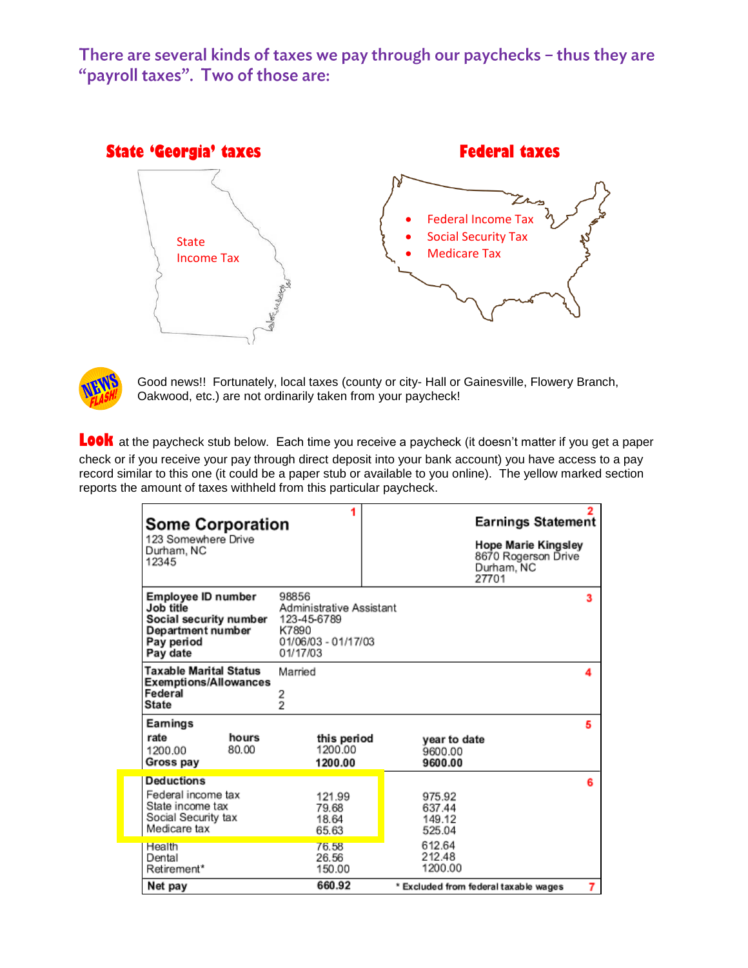There are several kinds of taxes we pay through our paychecks - thus they are "payroll taxes". Two of those are:





Good news!! Fortunately, local taxes (county or city- Hall or Gainesville, Flowery Branch, Oakwood, etc.) are not ordinarily taken from your paycheck!

LOOK at the paycheck stub below. Each time you receive a paycheck (it doesn't matter if you get a paper check or if you receive your pay through direct deposit into your bank account) you have access to a pay record similar to this one (it could be a paper stub or available to you online). The yellow marked section reports the amount of taxes withheld from this particular paycheck.

| <b>Some Corporation</b><br>123 Somewhere Drive<br>Durham, NC<br>12345                                    |                                                                                              |  | <b>Earnings Statement</b><br>Hope Marie Kingsley<br>8670 Rogerson Drive<br>Durham, NC<br>27701 |   |
|----------------------------------------------------------------------------------------------------------|----------------------------------------------------------------------------------------------|--|------------------------------------------------------------------------------------------------|---|
| Employee ID number<br>Job title<br>Social security number<br>Department number<br>Pay period<br>Pay date | 98856<br>Administrative Assistant<br>123-45-6789<br>K7890<br>01/06/03 - 01/17/03<br>01/17/03 |  |                                                                                                | з |
| <b>Taxable Marital Status</b><br><b>Exemptions/Allowances</b><br>Federal<br><b>State</b>                 | Married<br>2<br>$\overline{2}$                                                               |  |                                                                                                | 4 |
| Eamings<br>rate<br>hours<br>80.00<br>1200.00<br>Gross pay                                                | this period<br>1200.00<br>1200.00                                                            |  | year to date<br>9600.00<br>9600.00                                                             | 5 |
| <b>Deductions</b><br>Federal income tax<br>State income tax<br>Social Security tax<br>Medicare tax       | 121.99<br>79.68<br>18.64<br>65.63                                                            |  | 975.92<br>637.44<br>149.12<br>525.04                                                           | 6 |
| Health<br>Dental<br>Retirement*<br>Net pay                                                               | 76.58<br>26.56<br>150.00<br>660.92                                                           |  | 612.64<br>212.48<br>1200.00<br>* Excluded from federal taxable wages                           | 7 |